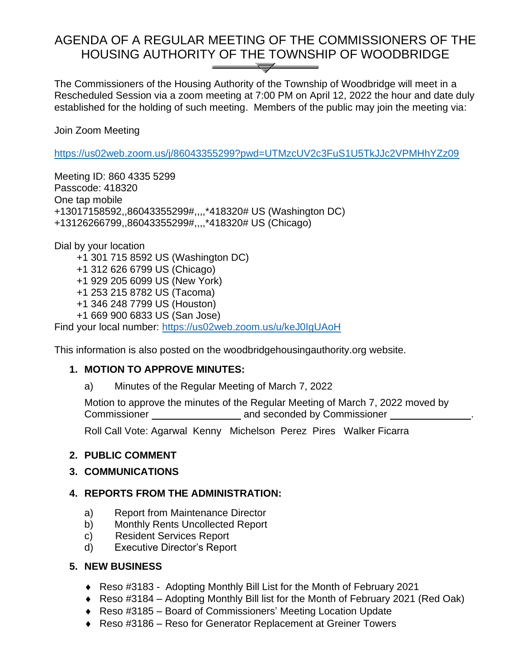# AGENDA OF A REGULAR MEETING OF THE COMMISSIONERS OF THE HOUSING AUTHORITY OF THE TOWNSHIP OF WOODBRIDGE  $\overline{\phantom{a}}$

The Commissioners of the Housing Authority of the Township of Woodbridge will meet in a Rescheduled Session via a zoom meeting at 7:00 PM on April 12, 2022 the hour and date duly established for the holding of such meeting. Members of the public may join the meeting via:

Join Zoom Meeting

<https://us02web.zoom.us/j/86043355299?pwd=UTMzcUV2c3FuS1U5TkJJc2VPMHhYZz09>

Meeting ID: 860 4335 5299 Passcode: 418320 One tap mobile +13017158592,,86043355299#,,,,\*418320# US (Washington DC) +13126266799,,86043355299#,,,,\*418320# US (Chicago)

Dial by your location

- +1 301 715 8592 US (Washington DC)
- +1 312 626 6799 US (Chicago)
- +1 929 205 6099 US (New York)
- +1 253 215 8782 US (Tacoma)
- +1 346 248 7799 US (Houston)
- +1 669 900 6833 US (San Jose)

Find your local number:<https://us02web.zoom.us/u/keJ0IgUAoH>

This information is also posted on the woodbridgehousingauthority.org website.

### **1. MOTION TO APPROVE MINUTES:**

a) Minutes of the Regular Meeting of March 7, 2022

Motion to approve the minutes of the Regular Meeting of March 7, 2022 moved by Commissioner **and seconded by Commissioner**  $\blacksquare$ 

Roll Call Vote: Agarwal Kenny Michelson Perez Pires Walker Ficarra

### **2. PUBLIC COMMENT**

### **3. COMMUNICATIONS**

### **4. REPORTS FROM THE ADMINISTRATION:**

- a) Report from Maintenance Director
- b) Monthly Rents Uncollected Report
- c) Resident Services Report
- d) Executive Director's Report

### **5. NEW BUSINESS**

- Reso #3183 Adopting Monthly Bill List for the Month of February 2021
- Reso #3184 Adopting Monthly Bill list for the Month of February 2021 (Red Oak)
- Reso #3185 Board of Commissioners' Meeting Location Update
- ◆ Reso #3186 Reso for Generator Replacement at Greiner Towers